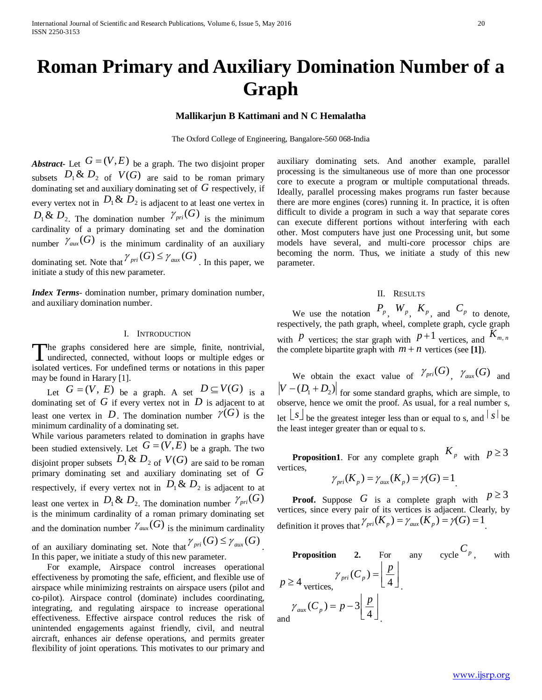# **Roman Primary and Auxiliary Domination Number of a Graph**

## **Mallikarjun B Kattimani and N C Hemalatha**

The Oxford College of Engineering, Bangalore-560 068-India

*Abstract***-** Let  $G = (V, E)$  be a graph. The two disjoint proper subsets  $D_1 \& D_2$  of  $V(G)$  are said to be roman primary dominating set and auxiliary dominating set of *G* respectively, if every vertex not in  $D_1 \& D_2$  is adjacent to at least one vertex in  $D_1 \& D_2$ . The domination number  $\gamma_{pri}(G)$  is the minimum cardinality of a primary dominating set and the domination number  $\mathcal{V}_{aux}(G)$  is the minimum cardinality of an auxiliary dominating set. Note that  $\gamma_{pri}(G) \leq \gamma_{aux}(G)$ . In this paper, we initiate a study of this new parameter.

*Index Terms*- domination number, primary domination number, and auxiliary domination number.

### I. INTRODUCTION

he graphs considered here are simple, finite, nontrivial, The graphs considered here are simple, finite, nontrivial, undirected, connected, without loops or multiple edges or isolated vertices. For undefined terms or notations in this paper may be found in Harary [1].

Let  $G = (V, E)$  be a graph. A set  $D \subseteq V(G)$  is a dominating set of  $G$  if every vertex not in  $D$  is adjacent to at least one vertex in D. The domination number  $\mathcal{V}(G)$  is the minimum cardinality of a dominating set.

While various parameters related to domination in graphs have been studied extensively. Let  $G = (V, E)$  be a graph. The two disjoint proper subsets  $D_1 \& D_2$  of  $V(G)$  are said to be roman primary dominating set and auxiliary dominating set of *G* respectively, if every vertex not in  $D_1 \& D_2$  is adjacent to at least one vertex in  $D_1 \& D_2$ . The domination number  $\gamma_{pri}(G)$ is the minimum cardinality of a roman primary dominating set and the domination number  $\mathcal{V}_{aux}(G)$  is the minimum cardinality of an auxiliary dominating set. Note that  $\gamma_{pri}(G) \leq \gamma_{aux}(G)$ In this paper, we initiate a study of this new parameter.

 For example, Airspace control increases operational effectiveness by promoting the safe, efficient, and flexible use of airspace while minimizing restraints on airspace users (pilot and co-pilot). Airspace control (dominate) includes coordinating, integrating, and regulating airspace to increase operational effectiveness. Effective airspace control reduces the risk of unintended engagements against friendly, civil, and neutral aircraft, enhances air defense operations, and permits greater flexibility of joint operations. This motivates to our primary and

auxiliary dominating sets. And another example, parallel processing is the simultaneous use of more than one processor core to execute a program or multiple computational threads. Ideally, parallel processing makes programs run faster because there are more engines (cores) running it. In practice, it is often difficult to divide a program in such a way that separate cores can execute different portions without interfering with each other. Most computers have just one Processing unit, but some models have several, and multi-core processor chips are becoming the norm. Thus, we initiate a study of this new parameter.

## II. RESULTS

We use the notation  $P_p$ ,  $W_p$ ,  $K_p$ , and  $C_p$  to denote, respectively, the path graph, wheel, complete graph, cycle graph with *P* vertices; the star graph with  $P+1$  vertices, and  $K_{m,n}$ the complete bipartite graph with  $m + n$  vertices (see [1]).

We obtain the exact value of  $\gamma_{pri}(G)$ ,  $\gamma_{aux}(G)$  and  $|V - (D_1 + D_2)|$  for some standard graphs, which are simple, to observe, hence we omit the proof. As usual, for a real number s, let  $\lfloor s \rfloor$  be the greatest integer less than or equal to s, and  $\lceil s \rceil$  be the least integer greater than or equal to s.

**Proposition1**. For any complete graph  $K_p$  with  $p \ge 3$ vertices,

$$
\gamma_{pri}(K_p) = \gamma_{aux}(K_p) = \gamma(G) = 1
$$

**Proof.** Suppose *G* is a complete graph with  $p \ge 3$ vertices, since every pair of its vertices is adjacent. Clearly, by definition it proves that  $\gamma_{pri}(K_p) = \gamma_{aux}(K_p) = \gamma(G) = 1$ .

**Proposition 2.** For any cycle 
$$
C_p
$$
, with  
\n
$$
p \ge 4 \text{ vertices,} \qquad \gamma_{pri}(C_p) = \left\lfloor \frac{p}{4} \right\rfloor
$$
\n
$$
\gamma_{aux}(C_p) = p - 3 \left\lfloor \frac{p}{4} \right\rfloor
$$